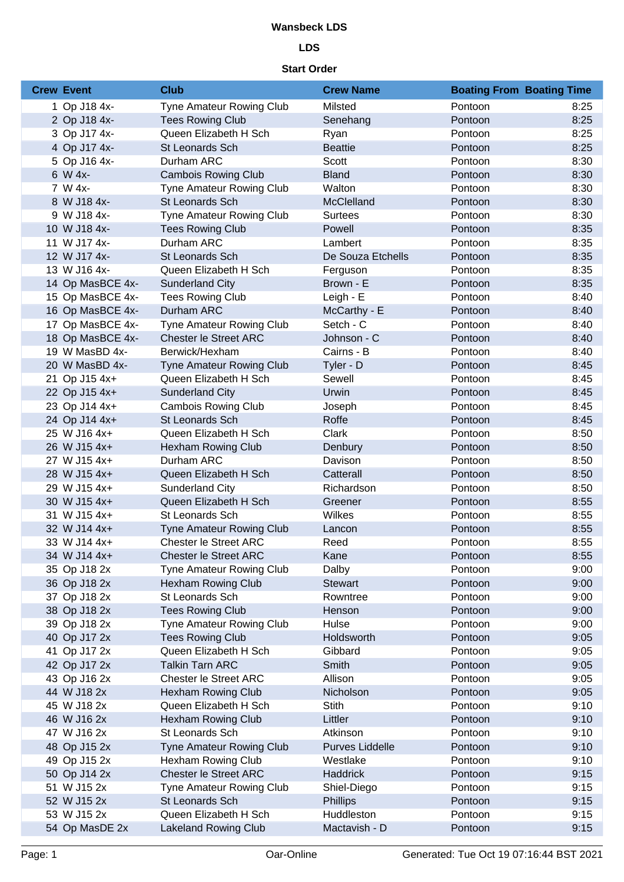#### **Wansbeck LDS**

# **LDS**

### **Start Order**

| <b>Crew Event</b> | <b>Club</b>                     | <b>Crew Name</b>  | <b>Boating From Boating Time</b> |      |
|-------------------|---------------------------------|-------------------|----------------------------------|------|
| 1 Op J18 4x-      | <b>Tyne Amateur Rowing Club</b> | Milsted           | Pontoon                          | 8:25 |
| 2 Op J18 4x-      | <b>Tees Rowing Club</b>         | Senehang          | Pontoon                          | 8:25 |
| 3 Op J17 4x-      | Queen Elizabeth H Sch           | Ryan              | Pontoon                          | 8:25 |
| 4 Op J17 4x-      | <b>St Leonards Sch</b>          | <b>Beattie</b>    | Pontoon                          | 8:25 |
| 5 Op J16 4x-      | Durham ARC                      | Scott             | Pontoon                          | 8:30 |
| 6 W 4x-           | <b>Cambois Rowing Club</b>      | <b>Bland</b>      | Pontoon                          | 8:30 |
| 7 W 4x-           | Tyne Amateur Rowing Club        | Walton            | Pontoon                          | 8:30 |
| 8 W J18 4x-       | St Leonards Sch                 | McClelland        | Pontoon                          | 8:30 |
| 9 W J18 4x-       | <b>Tyne Amateur Rowing Club</b> | <b>Surtees</b>    | Pontoon                          | 8:30 |
| 10 W J18 4x-      | <b>Tees Rowing Club</b>         | Powell            | Pontoon                          | 8:35 |
| 11 W J17 4x-      | Durham ARC                      | Lambert           | Pontoon                          | 8:35 |
| 12 W J17 4x-      | St Leonards Sch                 | De Souza Etchells | Pontoon                          | 8:35 |
| 13 W J16 4x-      | Queen Elizabeth H Sch           | Ferguson          | Pontoon                          | 8:35 |
| 14 Op MasBCE 4x-  | <b>Sunderland City</b>          | Brown - E         | Pontoon                          | 8:35 |
| 15 Op MasBCE 4x-  | <b>Tees Rowing Club</b>         | Leigh - E         | Pontoon                          | 8:40 |
| 16 Op MasBCE 4x-  | Durham ARC                      | McCarthy - E      | Pontoon                          | 8:40 |
| 17 Op MasBCE 4x-  | Tyne Amateur Rowing Club        | Setch - C         | Pontoon                          | 8:40 |
| 18 Op MasBCE 4x-  | <b>Chester le Street ARC</b>    | Johnson - C       | Pontoon                          | 8:40 |
| 19 W MasBD 4x-    | Berwick/Hexham                  | Cairns - B        | Pontoon                          | 8:40 |
| 20 W MasBD 4x-    | <b>Tyne Amateur Rowing Club</b> | Tyler - D         | Pontoon                          | 8:45 |
| 21 Op J15 4x+     | Queen Elizabeth H Sch           | Sewell            | Pontoon                          | 8:45 |
| 22 Op J15 4x+     | <b>Sunderland City</b>          | Urwin             | Pontoon                          | 8:45 |
| 23 Op J14 4x+     | <b>Cambois Rowing Club</b>      | Joseph            | Pontoon                          | 8:45 |
| 24 Op J14 4x+     | St Leonards Sch                 | Roffe             | Pontoon                          | 8:45 |
| 25 W J16 4x+      | Queen Elizabeth H Sch           | Clark             | Pontoon                          | 8:50 |
| 26 W J15 4x+      | <b>Hexham Rowing Club</b>       | Denbury           | Pontoon                          | 8:50 |
| 27 W J15 4x+      | Durham ARC                      | Davison           | Pontoon                          | 8:50 |
| 28 W J15 4x+      | Queen Elizabeth H Sch           | Catterall         | Pontoon                          | 8:50 |
| 29 W J15 4x+      | Sunderland City                 | Richardson        | Pontoon                          | 8:50 |
| 30 W J15 4x+      | Queen Elizabeth H Sch           | Greener           | Pontoon                          | 8:55 |
| 31 W J15 4x+      | <b>St Leonards Sch</b>          | Wilkes            | Pontoon                          | 8:55 |
| 32 W J14 4x+      | <b>Tyne Amateur Rowing Club</b> | Lancon            | Pontoon                          | 8:55 |
| 33 W J14 4x+      | <b>Chester le Street ARC</b>    | Reed              | Pontoon                          | 8:55 |
| 34 W J14 4x+      | <b>Chester le Street ARC</b>    | Kane              | Pontoon                          | 8:55 |
| 35 Op J18 2x      | Tyne Amateur Rowing Club        | Dalby             | Pontoon                          | 9:00 |
| 36 Op J18 2x      | <b>Hexham Rowing Club</b>       | <b>Stewart</b>    | Pontoon                          | 9:00 |
| 37 Op J18 2x      | St Leonards Sch                 | Rowntree          | Pontoon                          | 9:00 |
| 38 Op J18 2x      | <b>Tees Rowing Club</b>         | Henson            | Pontoon                          | 9:00 |
| 39 Op J18 2x      | Tyne Amateur Rowing Club        | Hulse             | Pontoon                          | 9:00 |
| 40 Op J17 2x      | <b>Tees Rowing Club</b>         | Holdsworth        | Pontoon                          | 9:05 |
| 41 Op J17 2x      | Queen Elizabeth H Sch           | Gibbard           | Pontoon                          | 9:05 |
| 42 Op J17 2x      | <b>Talkin Tarn ARC</b>          | Smith             | Pontoon                          | 9:05 |
| 43 Op J16 2x      | Chester le Street ARC           | Allison           | Pontoon                          | 9:05 |
| 44 W J18 2x       | <b>Hexham Rowing Club</b>       | Nicholson         | Pontoon                          | 9:05 |
| 45 W J18 2x       | Queen Elizabeth H Sch           | Stith             | Pontoon                          | 9:10 |
| 46 W J16 2x       | <b>Hexham Rowing Club</b>       | Littler           | Pontoon                          | 9:10 |
| 47 W J16 2x       | St Leonards Sch                 | Atkinson          | Pontoon                          | 9:10 |
| 48 Op J15 2x      | <b>Tyne Amateur Rowing Club</b> | Purves Liddelle   | Pontoon                          | 9:10 |
| 49 Op J15 2x      | Hexham Rowing Club              | Westlake          | Pontoon                          | 9:10 |
| 50 Op J14 2x      | <b>Chester le Street ARC</b>    | Haddrick          | Pontoon                          | 9:15 |
| 51 W J15 2x       | Tyne Amateur Rowing Club        | Shiel-Diego       | Pontoon                          | 9:15 |
| 52 W J15 2x       | St Leonards Sch                 | Phillips          | Pontoon                          | 9:15 |
| 53 W J15 2x       | Queen Elizabeth H Sch           | Huddleston        | Pontoon                          | 9:15 |
| 54 Op MasDE 2x    | <b>Lakeland Rowing Club</b>     | Mactavish - D     | Pontoon                          | 9:15 |
|                   |                                 |                   |                                  |      |